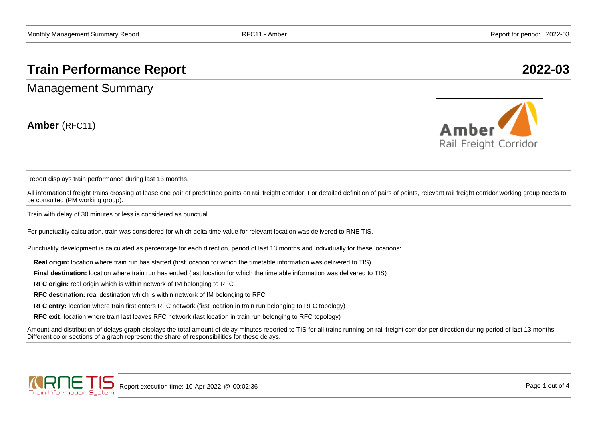## **Train Performance Report 2022-03**

Management Summary

**Amber** (RFC11)



Report displays train performance during last 13 months.

All international freight trains crossing at lease one pair of predefined points on rail freight corridor. For detailed definition of pairs of points, relevant rail freight corridor working group needs to be consulted (PM working group).

Train with delay of 30 minutes or less is considered as punctual.

For punctuality calculation, train was considered for which delta time value for relevant location was delivered to RNE TIS.

Punctuality development is calculated as percentage for each direction, period of last 13 months and individually for these locations:

**Real origin:** location where train run has started (first location for which the timetable information was delivered to TIS)

**Final destination:** location where train run has ended (last location for which the timetable information was delivered to TIS)

**RFC origin:** real origin which is within network of IM belonging to RFC

**RFC destination:** real destination which is within network of IM belonging to RFC

**RFC entry:** location where train first enters RFC network (first location in train run belonging to RFC topology)

**RFC exit:** location where train last leaves RFC network (last location in train run belonging to RFC topology)

Amount and distribution of delays graph displays the total amount of delay minutes reported to TIS for all trains running on rail freight corridor per direction during period of last 13 months. Different color sections of a graph represent the share of responsibilities for these delays.

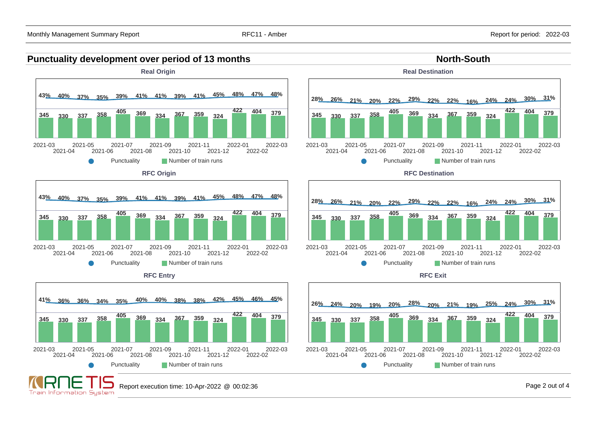## **Punctuality development over period of 13 months North-South North-South**





**RFC Destination**

**Real Destination**

2021-07 2021-09 2021-11 2022-01 2022-03 **28% 26% 21% 20% 22% 29% 22% 22% 16% 24% 24% 30% 31% <sup>345</sup> <sup>330</sup> <sup>337</sup> <sup>358</sup> <sup>405</sup> <sup>369</sup> <sup>334</sup> <sup>367</sup> <sup>359</sup> <sup>324</sup> <sup>422</sup> <sup>404</sup> <sup>379</sup>**

2021-10

2021-12

2022-02

**RFC Exit**



Train Information System

2021-05

2021-06

2021-07

**<sup>345</sup> <sup>330</sup> <sup>337</sup> <sup>358</sup> <sup>405</sup> <sup>369</sup> <sup>334</sup> <sup>367</sup> <sup>359</sup> <sup>324</sup>**

2021-08

2021-09

Punctuality **Number of train runs** 

2021-10

2021-11

2021-12

2022-01

2022-02

**<sup>422</sup> <sup>404</sup> <sup>379</sup>**

2022-03

2021-04

2021-03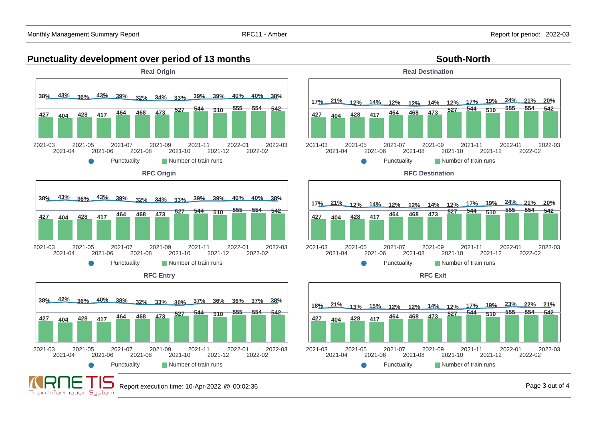## **Punctuality development over period of 13 months South-North South-North**